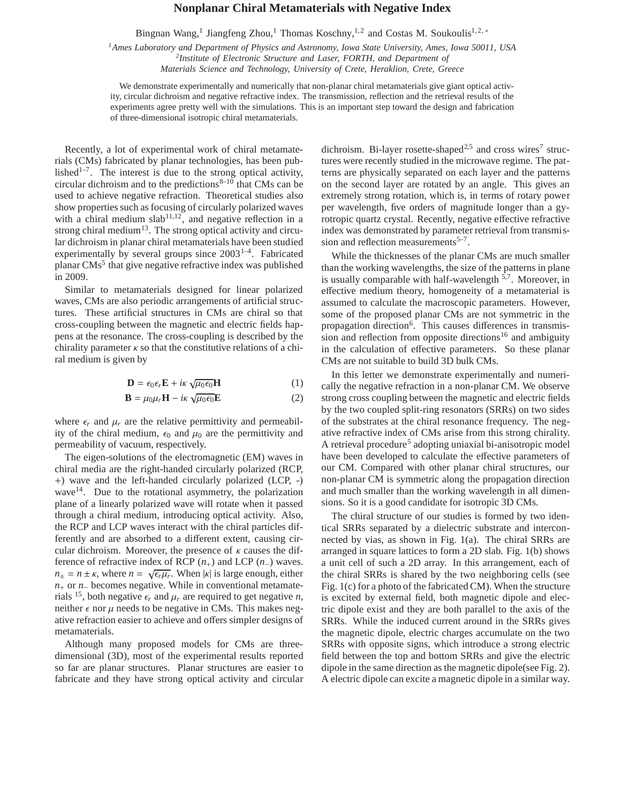## **Nonplanar Chiral Metamaterials with Negative Index**

Bingnan Wang,<sup>1</sup> Jiangfeng Zhou,<sup>1</sup> Thomas Koschny,<sup>1,2</sup> and Costas M. Soukoulis<sup>1,2,\*</sup>

*<sup>1</sup>Ames Laboratory and Department of Physics and Astronomy, Iowa State University, Ames, Iowa 50011, USA 2 Institute of Electronic Structure and Laser, FORTH, and Department of*

*Materials Science and Technology, University of Crete, Heraklion, Crete, Greece*

We demonstrate experimentally and numerically that non-planar chiral metamaterials give giant optical activity, circular dichroism and negative refractive index. The transmission, reflection and the retrieval results of the experiments agree pretty well with the simulations. This is an important step toward the design and fabrication of three-dimensional isotropic chiral metamaterials.

Recently, a lot of experimental work of chiral metamaterials (CMs) fabricated by planar technologies, has been published<sup>1–7</sup>. The interest is due to the strong optical activity, circular dichroism and to the predictions $8-10$  that CMs can be used to achieve negative refraction. Theoretical studies also show properties such as focusing of circularly polarized waves with a chiral medium slab<sup>11,12</sup>, and negative reflection in a strong chiral medium<sup>13</sup>. The strong optical activity and circular dichroism in planar chiral metamaterials have been studied experimentally by several groups since  $2003^{1-4}$ . Fabricated planar CMs<sup>5</sup> that give negative refractive index was published in 2009.

Similar to metamaterials designed for linear polarized waves, CMs are also periodic arrangements of artificial structures. These artificial structures in CMs are chiral so that cross-coupling between the magnetic and electric fields happens at the resonance. The cross-coupling is described by the chirality parameter  $\kappa$  so that the constitutive relations of a chiral medium is given by

$$
\mathbf{D} = \epsilon_0 \epsilon_r \mathbf{E} + i\kappa \sqrt{\mu_0 \epsilon_0} \mathbf{H}
$$
 (1)

$$
\mathbf{B} = \mu_0 \mu_r \mathbf{H} - i\kappa \sqrt{\mu_0 \epsilon_0} \mathbf{E}
$$
 (2)

where  $\epsilon_r$  and  $\mu_r$  are the relative permittivity and permeability of the chiral medium,  $\epsilon_0$  and  $\mu_0$  are the permittivity and permeability of vacuum, respectively.

The eigen-solutions of the electromagnetic (EM) waves in chiral media are the right-handed circularly polarized (RCP, +) wave and the left-handed circularly polarized (LCP, -) wave<sup>14</sup>. Due to the rotational asymmetry, the polarization plane of a linearly polarized wave will rotate when it passed through a chiral medium, introducing optical activity. Also, the RCP and LCP waves interact with the chiral particles differently and are absorbed to a different extent, causing circular dichroism. Moreover, the presence of  $\kappa$  causes the difference of refractive index of RCP  $(n_+)$  and LCP  $(n_-)$  waves.  $n_{\pm} = n \pm \kappa$ , where  $n = \sqrt{\epsilon_r \mu_r}$ . When  $|\kappa|$  is large enough, either *n*+ or *n*− becomes negative. While in conventional metamaterials <sup>15</sup>, both negative  $\epsilon_r$  and  $\mu_r$  are required to get negative *n*, neither  $\epsilon$  nor  $\mu$  needs to be negative in CMs. This makes negative refraction easier to achieve and offers simpler designs of metamaterials.

Although many proposed models for CMs are threedimensional (3D), most of the experimental results reported so far are planar structures. Planar structures are easier to fabricate and they have strong optical activity and circular

dichroism. Bi-layer rosette-shaped<sup>2,5</sup> and cross wires<sup>7</sup> structures were recently studied in the microwave regime. The patterns are physically separated on each layer and the patterns on the second layer are rotated by an angle. This gives an extremely strong rotation, which is, in terms of rotary power per wavelength, five orders of magnitude longer than a gyrotropic quartz crystal. Recently, negative effective refractive index was demonstrated by parameter retrieval from transmission and reflection measurements $5-7$ .

While the thicknesses of the planar CMs are much smaller than the working wavelengths, the size of the patterns in plane is usually comparable with half-wavelength  $\frac{5}{7}$ . Moreover, in effective medium theory, homogeneity of a metamaterial is assumed to calculate the macroscopic parameters. However, some of the proposed planar CMs are not symmetric in the propagation direction<sup>6</sup>. This causes differences in transmission and reflection from opposite directions<sup>16</sup> and ambiguity in the calculation of effective parameters. So these planar CMs are not suitable to build 3D bulk CMs.

In this letter we demonstrate experimentally and numerically the negative refraction in a non-planar CM. We observe strong cross coupling between the magnetic and electric fields by the two coupled split-ring resonators (SRRs) on two sides of the substrates at the chiral resonance frequency. The negative refractive index of CMs arise from this strong chirality. A retrieval procedure<sup>5</sup> adopting uniaxial bi-anisotropic model have been developed to calculate the effective parameters of our CM. Compared with other planar chiral structures, our non-planar CM is symmetric along the propagation direction and much smaller than the working wavelength in all dimensions. So it is a good candidate for isotropic 3D CMs.

The chiral structure of our studies is formed by two identical SRRs separated by a dielectric substrate and interconnected by vias, as shown in Fig. 1(a). The chiral SRRs are arranged in square lattices to form a 2D slab. Fig. 1(b) shows a unit cell of such a 2D array. In this arrangement, each of the chiral SRRs is shared by the two neighboring cells (see Fig. 1(c) for a photo of the fabricated CM). When the structure is excited by external field, both magnetic dipole and electric dipole exist and they are both parallel to the axis of the SRRs. While the induced current around in the SRRs gives the magnetic dipole, electric charges accumulate on the two SRRs with opposite signs, which introduce a strong electric field between the top and bottom SRRs and give the electric dipole in the same direction as the magnetic dipole(see Fig. 2). A electric dipole can excite a magnetic dipole in a similar way.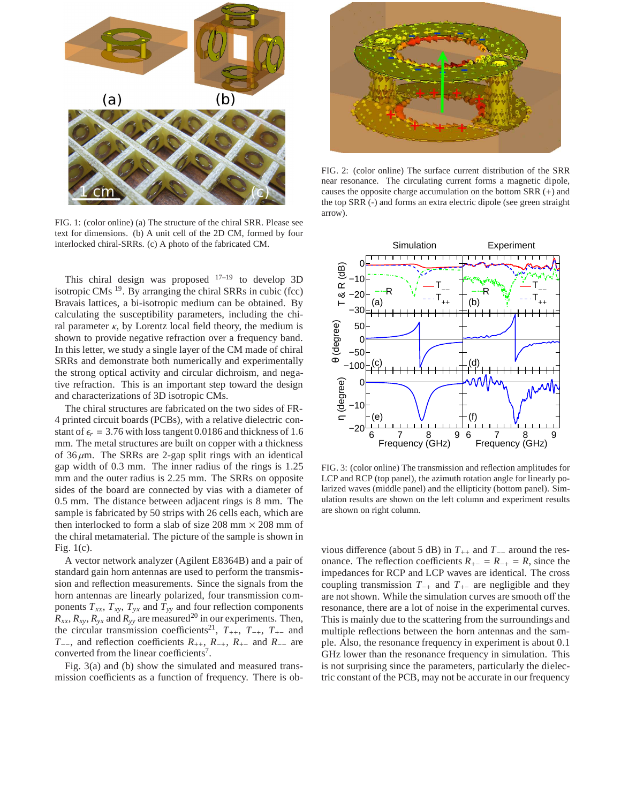

FIG. 1: (color online) (a) The structure of the chiral SRR. Please see text for dimensions. (b) A unit cell of the 2D CM, formed by four interlocked chiral-SRRs. (c) A photo of the fabricated CM.

This chiral design was proposed  $17-19$  to develop 3D isotropic CMs  $^{19}$ . By arranging the chiral SRRs in cubic (fcc) Bravais lattices, a bi-isotropic medium can be obtained. By calculating the susceptibility parameters, including the chiral parameter  $\kappa$ , by Lorentz local field theory, the medium is shown to provide negative refraction over a frequency band. In this letter, we study a single layer of the CM made of chiral SRRs and demonstrate both numerically and experimentally the strong optical activity and circular dichroism, and negative refraction. This is an important step toward the design and characterizations of 3D isotropic CMs.

The chiral structures are fabricated on the two sides of FR-4 printed circuit boards (PCBs), with a relative dielectric constant of  $\epsilon_r = 3.76$  with loss tangent 0.0186 and thickness of 1.6 mm. The metal structures are built on copper with a thickness of  $36 \mu m$ . The SRRs are 2-gap split rings with an identical gap width of 0.3 mm. The inner radius of the rings is 1.25 mm and the outer radius is 2.25 mm. The SRRs on opposite sides of the board are connected by vias with a diameter of 0.5 mm. The distance between adjacent rings is 8 mm. The sample is fabricated by 50 strips with 26 cells each, which are then interlocked to form a slab of size  $208$  mm  $\times$   $208$  mm of the chiral metamaterial. The picture of the sample is shown in Fig. 1(c).

A vector network analyzer (Agilent E8364B) and a pair of standard gain horn antennas are used to perform the transmission and reflection measurements. Since the signals from the horn antennas are linearly polarized, four transmission components  $T_{xx}$ ,  $T_{xy}$ ,  $T_{yx}$  and  $T_{yy}$  and four reflection components  $R_{xx}$ ,  $R_{xy}$ ,  $R_{yx}$  and  $R_{yy}$  are measured<sup>20</sup> in our experiments. Then, the circular transmission coefficients<sup>21</sup>,  $T_{++}$ ,  $T_{-+}$ ,  $T_{+-}$  and *T*−−, and reflection coefficients *R*++, *R*−<sup>+</sup>, *R*<sup>+</sup><sup>−</sup> and *R*−− are converted from the linear coefficients<sup>7</sup>.

Fig. 3(a) and (b) show the simulated and measured transmission coefficients as a function of frequency. There is ob-



FIG. 2: (color online) The surface current distribution of the SRR near resonance. The circulating current forms a magnetic dipole, causes the opposite charge accumulation on the bottom SRR (+) and the top SRR (-) and forms an extra electric dipole (see green straight arrow).



FIG. 3: (color online) The transmission and reflection amplitudes for LCP and RCP (top panel), the azimuth rotation angle for linearly polarized waves (middle panel) and the ellipticity (bottom panel). Simulation results are shown on the left column and experiment results are shown on right column.

vious difference (about 5 dB) in  $T_{++}$  and  $T_{--}$  around the resonance. The reflection coefficients  $R_{+-} = R_{-+} = R$ , since the impedances for RCP and LCP waves are identical. The cross coupling transmission *T*−<sup>+</sup> and *T*+<sup>−</sup> are negligible and they are not shown. While the simulation curves are smooth off the resonance, there are a lot of noise in the experimental curves. This is mainly due to the scattering from the surroundings and multiple reflections between the horn antennas and the sample. Also, the resonance frequency in experiment is about 0.1 GHz lower than the resonance frequency in simulation. This is not surprising since the parameters, particularly the dielectric constant of the PCB, may not be accurate in our frequency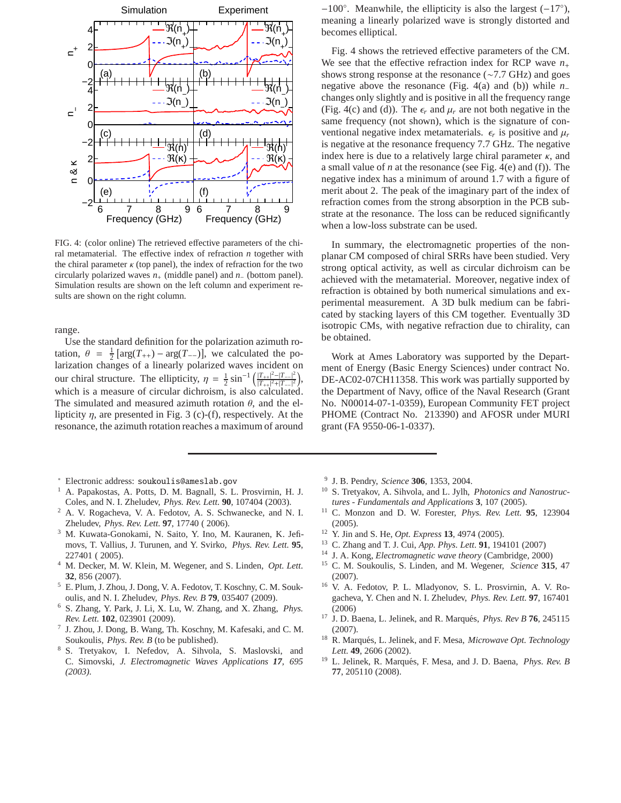

FIG. 4: (color online) The retrieved effective parameters of the chiral metamaterial. The effective index of refraction *n* together with the chiral parameter  $\kappa$  (top panel), the index of refraction for the two circularly polarized waves *n*<sup>+</sup> (middle panel) and *n*<sup>−</sup> (bottom panel). Simulation results are shown on the left column and experiment results are shown on the right column.

range.

Use the standard definition for the polarization azimuth rotation,  $\theta = \frac{1}{2} [\arg(T_{++}) - \arg(T_{--})]$ , we calculated the polarization changes of a linearly polarized waves incident on our chiral structure. The ellipticity,  $\eta = \frac{1}{2} \sin^{-1} \left( \frac{|T_{++}|^2 - |T_{--}|^2}{|T_{++}|^2 + |T_{--}|^2} \right)$  $\frac{|T_{++}|^2-|T_{--}|^2}{|T_{++}|^2+|T_{--}|^2},$ which is a measure of circular dichroism, is also calculated. The simulated and measured azimuth rotation  $\theta$ , and the ellipticity  $\eta$ , are presented in Fig. 3 (c)-(f), respectively. At the resonance, the azimuth rotation reaches a maximum of around

- <sup>∗</sup> Electronic address: soukoulis@ameslab.gov
- <sup>1</sup> A. Papakostas, A. Potts, D. M. Bagnall, S. L. Prosvirnin, H. J. Coles, and N. I. Zheludev, *Phys. Rev. Lett.* **90**, 107404 (2003).
- <sup>2</sup> A. V. Rogacheva, V. A. Fedotov, A. S. Schwanecke, and N. I. Zheludev, *Phys. Rev. Lett.* **97**, 17740 ( 2006).
- <sup>3</sup> M. Kuwata-Gonokami, N. Saito, Y. Ino, M. Kauranen, K. Jefimovs, T. Vallius, J. Turunen, and Y. Svirko, *Phys. Rev. Lett.* **95**, 227401 ( 2005).
- <sup>4</sup> M. Decker, M. W. Klein, M. Wegener, and S. Linden, *Opt. Lett.* **32**, 856 (2007).
- <sup>5</sup> E. Plum, J. Zhou, J. Dong, V. A. Fedotov, T. Koschny, C. M. Soukoulis, and N. I. Zheludev, *Phys. Rev. B* **79**, 035407 (2009).
- <sup>6</sup> S. Zhang, Y. Park, J. Li, X. Lu, W. Zhang, and X. Zhang, *Phys. Rev. Lett.* **102**, 023901 (2009).
- 7 J. Zhou, J. Dong, B. Wang, Th. Koschny, M. Kafesaki, and C. M. Soukoulis, *Phys. Rev. B* (to be published).
- <sup>8</sup> S. Tretyakov, I. Nefedov, A. Sihvola, S. Maslovski, and C. Simovski, *J. Electromagnetic Waves Applications 17, 695 (2003).*

−100◦ . Meanwhile, the ellipticity is also the largest (−17◦ ), meaning a linearly polarized wave is strongly distorted and becomes elliptical.

Fig. 4 shows the retrieved effective parameters of the CM. We see that the effective refraction index for RCP wave  $n_+$ shows strong response at the resonance (∼7.7 GHz) and goes negative above the resonance (Fig. 4(a) and (b)) while *n*<sup>−</sup> changes only slightly and is positive in all the frequency range (Fig. 4(c) and (d)). The  $\epsilon_r$  and  $\mu_r$  are not both negative in the same frequency (not shown), which is the signature of conventional negative index metamaterials.  $\epsilon_r$  is positive and  $\mu_r$ is negative at the resonance frequency 7.7 GHz. The negative index here is due to a relatively large chiral parameter  $\kappa$ , and a small value of *n* at the resonance (see Fig. 4(e) and (f)). The negative index has a minimum of around 1.7 with a figure of merit about 2. The peak of the imaginary part of the index of refraction comes from the strong absorption in the PCB substrate at the resonance. The loss can be reduced significantly when a low-loss substrate can be used.

In summary, the electromagnetic properties of the nonplanar CM composed of chiral SRRs have been studied. Very strong optical activity, as well as circular dichroism can be achieved with the metamaterial. Moreover, negative index of refraction is obtained by both numerical simulations and experimental measurement. A 3D bulk medium can be fabricated by stacking layers of this CM together. Eventually 3D isotropic CMs, with negative refraction due to chirality, can be obtained.

Work at Ames Laboratory was supported by the Department of Energy (Basic Energy Sciences) under contract No. DE-AC02-07CH11358. This work was partially supported by the Department of Navy, office of the Naval Research (Grant No. N00014-07-1-0359), European Community FET project PHOME (Contract No. 213390) and AFOSR under MURI grant (FA 9550-06-1-0337).

- 9 J. B. Pendry, *Science* **306**, 1353, 2004.
- <sup>10</sup> S. Tretyakov, A. Sihvola, and L. Jylh, *Photonics and Nanostructures - Fundamentals and Applications* **3**, 107 (2005).
- <sup>11</sup> C. Monzon and D. W. Forester, *Phys. Rev. Lett.* **95**, 123904 (2005).
- <sup>12</sup> Y. Jin and S. He, *Opt. Express* **13**, 4974 (2005).
- <sup>13</sup> C. Zhang and T. J. Cui, *App. Phys. Lett.* **91**, 194101 (2007)
- <sup>14</sup> J. A. Kong, *Electromagnetic wave theory* (Cambridge, 2000)
- <sup>15</sup> C. M. Soukoulis, S. Linden, and M. Wegener, *Science* **315**, 47 (2007).
- <sup>16</sup> V. A. Fedotov, P. L. Mladyonov, S. L. Prosvirnin, A. V. Rogacheva, Y. Chen and N. I. Zheludev, *Phys. Rev. Lett.* **97**, 167401 (2006)
- <sup>17</sup> J. D. Baena, L. Jelinek, and R. Marqués, *Phys. Rev B* **76**, 245115 (2007).
- <sup>18</sup> R. Marqués, L. Jelinek, and F. Mesa, *Microwave Opt. Technology Lett.* **49**, 2606 (2002).
- <sup>19</sup> L. Jelinek, R. Marqués, F. Mesa, and J. D. Baena, *Phys. Rev. B* **77**, 205110 (2008).